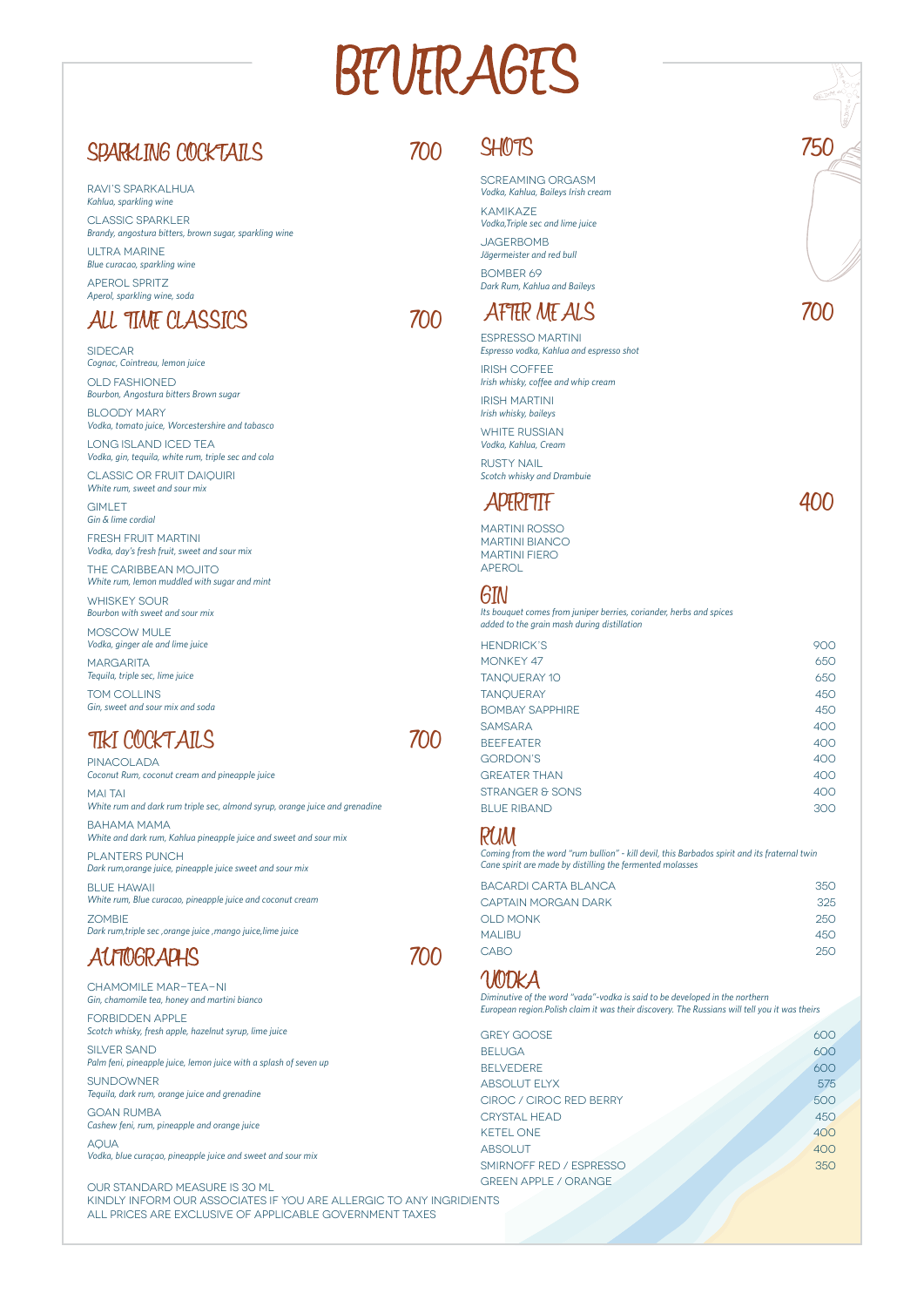# BEUFRAGES

# SPARKLING COCKTAILS

Ravi's Sparkalhua *Kahlua, sparkling wine*

Classic Sparkler *Brandy, angostura bitters, brown sugar, sparkling wine*

ULTRA MARINE *Blue curacao, sparkling wine*

**JAGERBOMB** *Jägermeister and red bull*

Aperol Spritz *Aperol, sparkling wine, soda*

# ALL TIME CLASSICS

BOMBER 69 *Dark Rum, Kahlua and Baileys* 

Screaming orgasm *Vodka, Kahlua, Baileys Irish cream*

Kamikaze *Vodka,Triple sec and lime juice*

WHITE RUSSIAN *Vodka, Kahlua, Cream*

# TIKI COCKTAILS 700

**RUSTY NAIL** *Scotch whisky and Drambuie* 

**SIDECAR** *Cognac, Cointreau, lemon juice*

Our Standard measure is 30 ml KINDLY INFORM OUR ASSOCIATES IF YOU ARE ALLERGIC TO ANY INGRIDIE ALL PRICES ARE EXCLUSIVE OF APPLICABLE GOVERNMENT TAXES

**GIMLET** *Gin & lime cordial* 

Espresso martini *Espresso vodka, Kahlua and espresso shot*

Irish coffee *Irish whisky, coffee and whip cream*

Irish martini *Irish whisky, baileys*

**MARGARITA** *Tequila, triple sec, lime juice* 

FORBIDDEN APPLE *Scotch whisky, fresh apple, hazelnut syrup, lime juice*

# AFTER MEALS 700

SILVER SAND *Palm feni, pineapple juice, lemon juice with a splash of seven up*

**SUNDOWNER** *Tequila, dark rum, orange juice and grenadine*

Old fashioned *Bourbon, Angostura bitters Brown sugar* 

**AQUA** *Vodka, blue curaçao, pineapple juice and sweet and sour mix* 

Bloody Mary *Vodka, tomato juice, Worcestershire and tabasco*

**PINACOLADA** *Coconut Rum, coconut cream and pineapple juice*

**MAI TAI** *White rum and dark rum triple sec, almond syrup, orange juice and grenadine*

Long island iced tea *Vodka, gin, tequila, white rum, triple sec and cola*

Classic or fruit daiquiri *White rum, sweet and sour mix*

**BLUE HAWAII** *White rum, Blue curacao, pineapple juice and coconut cream*

**ZOMBIE** *Dark rum,triple sec ,orange juice ,mango juice,lime juice*

# **AUTOGRAPHS**

Fresh fruit martini *Vodka, day's fresh fruit, sweet and sour mix*

The Caribbean mojito *White rum, lemon muddled with sugar and mint*

Whiskey sour *Bourbon with sweet and sour mix*

Moscow mule *Vodka, ginger ale and lime juice*

Tom Collins *Gin, sweet and sour mix and soda* 

Chamomile mar-tea-ni

# 700 SHOTS 750

*Gin, chamomile tea, honey and martini bianco*

Goan rumba *Cashew feni, rum, pineapple and orange juice* 700

700



Bahama mama *White and dark rum, Kahlua pineapple juice and sweet and sour mix*

Planters punch *Dark rum,orange juice, pineapple juice sweet and sour mix* Martini rosso Martini bianco Martini Fiero APEROL

| <b>HENDRICK'S</b>      | 900 |
|------------------------|-----|
| MONKEY 47              | 650 |
| <b>TANQUERAY 10</b>    | 650 |
| <b>TANQUERAY</b>       | 450 |
| <b>BOMBAY SAPPHIRE</b> | 450 |
| <b>SAMSARA</b>         | 400 |
| <b>BEEFEATER</b>       | 400 |
| <b>GORDON'S</b>        | 400 |
| <b>GREATER THAN</b>    | 400 |
| STRANGER & SONS        | 400 |
| <b>BLUE RIBAND</b>     | 300 |

| BACARDI CARTA BLANCA | 350 |
|----------------------|-----|
| CAPTAIN MORGAN DARK  | 325 |
| <b>OLD MONK</b>      | 250 |
| MALIBU               | 450 |
| <b>CABO</b>          | 250 |

VODKA

| <b>GREY GOOSE</b>           | 600 |
|-----------------------------|-----|
| <b>BELUGA</b>               | 600 |
| <b>BELVEDERE</b>            | 600 |
| <b>ABSOLUT ELYX</b>         | 575 |
| CIROC / CIROC RED BERRY     | 500 |
| <b>CRYSTAL HEAD</b>         | 450 |
| <b>KETEL ONE</b>            | 400 |
| <b>ABSOLUT</b>              | 400 |
| SMIRNOFF RED / ESPRESSO     | 350 |
| <b>GREEN APPLE / ORANGE</b> |     |
| <b>ENTS</b>                 |     |
|                             |     |
|                             |     |
|                             |     |

# APERITIF 400

## GIN

*Its bouquet comes from juniper berries, coriander, herbs and spices added to the grain mash during distillation*

### RUM

*Coming from the word "rum bullion" - kill devil, this Barbados spirit and its fraternal twin Cane spirit are made by distilling the fermented molasses*

*Diminutive of the word "vada"-vodka is said to be developed in the northern European region.Polish claim it was their discovery. The Russians will tell you it was theirs*